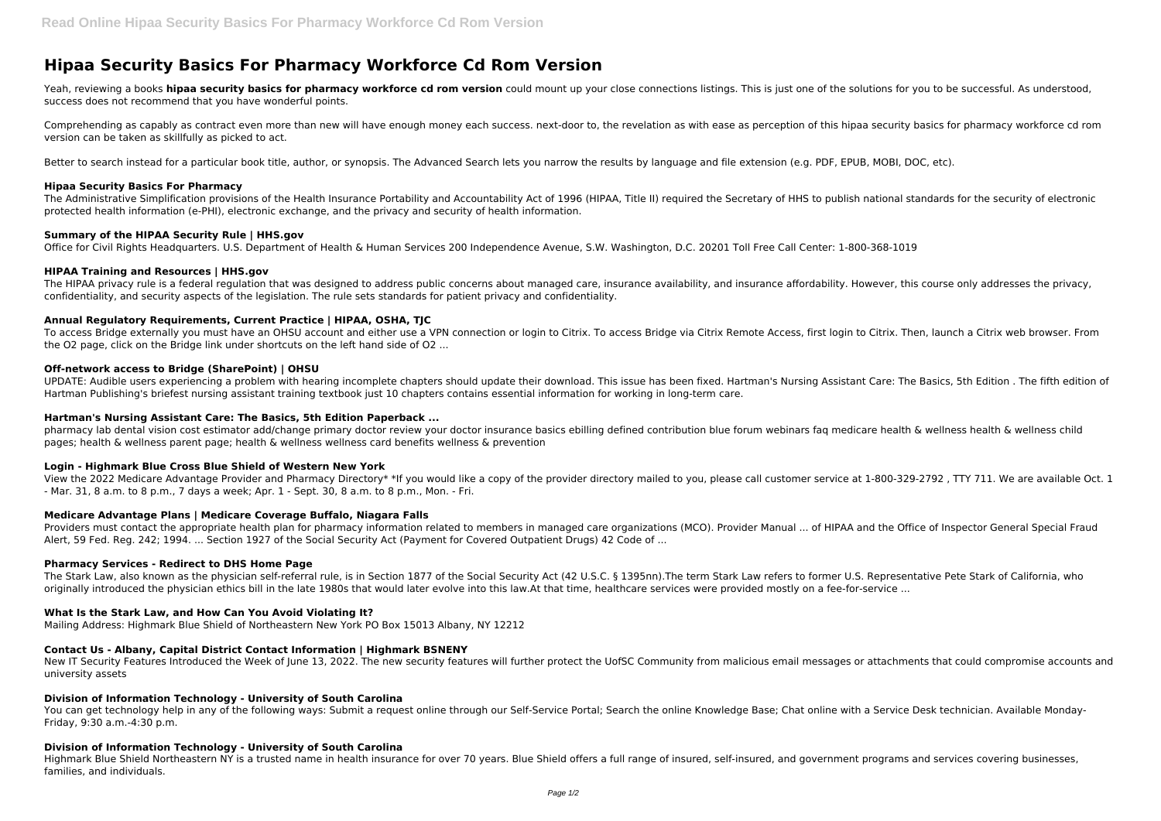# **Hipaa Security Basics For Pharmacy Workforce Cd Rom Version**

Yeah, reviewing a books **hipaa security basics for pharmacy workforce cd rom version** could mount up your close connections listings. This is just one of the solutions for you to be successful. As understood, success does not recommend that you have wonderful points.

Comprehending as capably as contract even more than new will have enough money each success. next-door to, the revelation as with ease as perception of this hipaa security basics for pharmacy workforce cd rom version can be taken as skillfully as picked to act.

Better to search instead for a particular book title, author, or synopsis. The Advanced Search lets you narrow the results by language and file extension (e.g. PDF, EPUB, MOBI, DOC, etc).

# **Hipaa Security Basics For Pharmacy**

The HIPAA privacy rule is a federal regulation that was designed to address public concerns about managed care, insurance availability, and insurance affordability. However, this course only addresses the privacy, confidentiality, and security aspects of the legislation. The rule sets standards for patient privacy and confidentiality.

The Administrative Simplification provisions of the Health Insurance Portability and Accountability Act of 1996 (HIPAA, Title II) required the Secretary of HHS to publish national standards for the security of electronic protected health information (e-PHI), electronic exchange, and the privacy and security of health information.

#### **Summary of the HIPAA Security Rule | HHS.gov**

Office for Civil Rights Headquarters. U.S. Department of Health & Human Services 200 Independence Avenue, S.W. Washington, D.C. 20201 Toll Free Call Center: 1-800-368-1019

#### **HIPAA Training and Resources | HHS.gov**

# **Annual Regulatory Requirements, Current Practice | HIPAA, OSHA, TJC**

To access Bridge externally you must have an OHSU account and either use a VPN connection or login to Citrix. To access Bridge via Citrix Remote Access, first login to Citrix. Then, launch a Citrix web browser. From the O2 page, click on the Bridge link under shortcuts on the left hand side of O2 ...

The Stark Law, also known as the physician self-referral rule, is in Section 1877 of the Social Security Act (42 U.S.C. § 1395nn). The term Stark Law refers to former U.S. Representative Pete Stark of California, who originally introduced the physician ethics bill in the late 1980s that would later evolve into this law.At that time, healthcare services were provided mostly on a fee-for-service ...

# **Off-network access to Bridge (SharePoint) | OHSU**

New IT Security Features Introduced the Week of June 13, 2022. The new security features will further protect the UofSC Community from malicious email messages or attachments that could compromise accounts and university assets

UPDATE: Audible users experiencing a problem with hearing incomplete chapters should update their download. This issue has been fixed. Hartman's Nursing Assistant Care: The Basics, 5th Edition . The fifth edition of Hartman Publishing's briefest nursing assistant training textbook just 10 chapters contains essential information for working in long-term care.

You can get technology help in any of the following ways: Submit a request online through our Self-Service Portal; Search the online Knowledge Base; Chat online with a Service Desk technician. Available Monday-Friday, 9:30 a.m.-4:30 p.m.

# **Hartman's Nursing Assistant Care: The Basics, 5th Edition Paperback ...**

pharmacy lab dental vision cost estimator add/change primary doctor review your doctor insurance basics ebilling defined contribution blue forum webinars faq medicare health & wellness health & wellness child pages; health & wellness parent page; health & wellness wellness card benefits wellness & prevention

# **Login - Highmark Blue Cross Blue Shield of Western New York**

View the 2022 Medicare Advantage Provider and Pharmacy Directory\* \*If you would like a copy of the provider directory mailed to you, please call customer service at 1-800-329-2792 , TTY 711. We are available Oct. 1 - Mar. 31, 8 a.m. to 8 p.m., 7 days a week; Apr. 1 - Sept. 30, 8 a.m. to 8 p.m., Mon. - Fri.

# **Medicare Advantage Plans | Medicare Coverage Buffalo, Niagara Falls**

Providers must contact the appropriate health plan for pharmacy information related to members in managed care organizations (MCO). Provider Manual ... of HIPAA and the Office of Inspector General Special Fraud Alert, 59 Fed. Reg. 242; 1994. ... Section 1927 of the Social Security Act (Payment for Covered Outpatient Drugs) 42 Code of ...

# **Pharmacy Services - Redirect to DHS Home Page**

# **What Is the Stark Law, and How Can You Avoid Violating It?**

Mailing Address: Highmark Blue Shield of Northeastern New York PO Box 15013 Albany, NY 12212

# **Contact Us - Albany, Capital District Contact Information | Highmark BSNENY**

# **Division of Information Technology - University of South Carolina**

# **Division of Information Technology - University of South Carolina**

Highmark Blue Shield Northeastern NY is a trusted name in health insurance for over 70 years. Blue Shield offers a full range of insured, self-insured, and government programs and services covering businesses, families, and individuals.